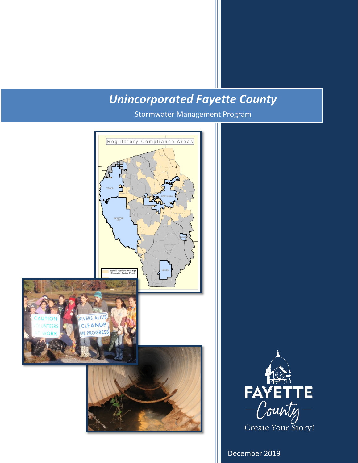## *Unincorporated Fayette County*

Stormwater Management Program





December 2019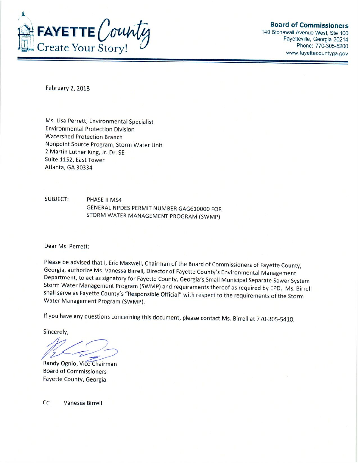

**Board of Commissioners** 

140 Stonewall Avenue West, Ste 100 Fayetteville, Georgia 30214 Phone: 770-305-5200 www.fayettecountyga.gov

February 2, 2018

Ms. Lisa Perrett, Environmental Specialist **Environmental Protection Division Watershed Protection Branch** Nonpoint Source Program, Storm Water Unit 2 Martin Luther King, Jr. Dr. SE Suite 1152, East Tower Atlanta, GA 30334

**SUBJECT:** PHASE II MS4 GENERAL NPDES PERMIT NUMBER GAG610000 FOR STORM WATER MANAGEMENT PROGRAM (SWMP)

Dear Ms. Perrett:

Please be advised that I, Eric Maxwell, Chairman of the Board of Commissioners of Fayette County, Georgia, authorize Ms. Vanessa Birrell, Director of Fayette County's Environmental Management Department, to act as signatory for Fayette County, Georgia's Small Municipal Separate Sewer System Storm Water Management Program (SWMP) and requirements thereof as required by EPD. Ms. Birrell shall serve as Fayette County's "Responsible Official" with respect to the requirements of the Storm Water Management Program (SWMP).

If you have any questions concerning this document, please contact Ms. Birrell at 770-305-5410.

Sincerely,

Randy Ognio, Vice Chairman **Board of Commissioners** Fayette County, Georgia

Cc: Vanessa Birrell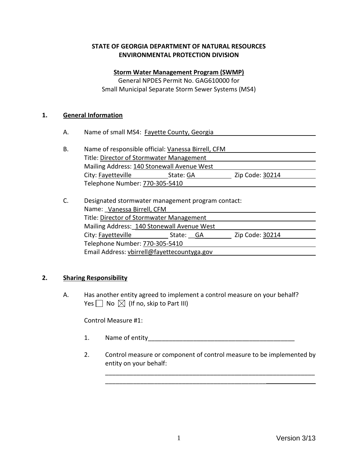#### **STATE OF GEORGIA DEPARTMENT OF NATURAL RESOURCES ENVIRONMENTAL PROTECTION DIVISION**

#### **Storm Water Management Program (SWMP)**

General NPDES Permit No. GAG610000 for Small Municipal Separate Storm Sewer Systems (MS4)

#### **1. General Information**

- A. Name of small MS4: Fayette County, Georgia
- B. Name of responsible official: Vanessa Birrell, CFM Title: Director of Stormwater Management Mailing Address: 140 Stonewall Avenue West City: Fayetteville State: GA Zip Code: 30214 Telephone Number: 770-305-5410
- C. Designated stormwater management program contact: Name: Vanessa Birrell, CFM Title: Director of Stormwater Management Mailing Address:\_140 Stonewall Avenue West City: Fayetteville State: GA Zip Code: 30214 Telephone Number: 770-305-5410 Email Address: vbirrell@fayettecountyga.gov

#### **2. Sharing Responsibility**

A. Has another entity agreed to implement a control measure on your behalf? Yes  $\Box$  No  $\boxtimes$  (If no, skip to Part III)

Control Measure #1:

1. Name of entity

\_\_\_\_\_\_\_\_\_\_\_\_\_\_\_\_\_\_\_\_\_\_\_\_\_\_\_\_\_\_\_\_\_\_\_\_\_\_\_\_\_\_\_\_\_\_

2. Control measure or component of control measure to be implemented by entity on your behalf:

\_\_\_\_\_\_\_\_\_\_\_\_\_\_\_\_\_\_\_\_\_\_\_\_\_\_\_\_\_\_\_\_\_\_\_\_\_\_\_\_\_\_\_\_\_\_\_\_\_\_\_\_\_\_\_\_\_\_\_\_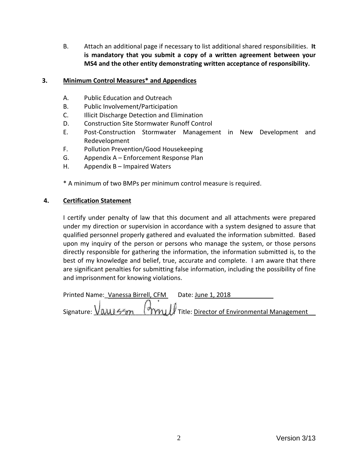B. Attach an additional page if necessary to list additional shared responsibilities. **It is mandatory that you submit a copy of a written agreement between your MS4 and the other entity demonstrating written acceptance of responsibility.**

#### **3. Minimum Control Measures\* and Appendices**

- A. Public Education and Outreach
- B. Public Involvement/Participation
- C. Illicit Discharge Detection and Elimination
- D. Construction Site Stormwater Runoff Control
- E. Post-Construction Stormwater Management in New Development and Redevelopment
- F. Pollution Prevention/Good Housekeeping
- G. Appendix A Enforcement Response Plan
- H. Appendix B Impaired Waters

\* A minimum of two BMPs per minimum control measure is required.

#### **4. Certification Statement**

I certify under penalty of law that this document and all attachments were prepared under my direction or supervision in accordance with a system designed to assure that qualified personnel properly gathered and evaluated the information submitted. Based upon my inquiry of the person or persons who manage the system, or those persons directly responsible for gathering the information, the information submitted is, to the best of my knowledge and belief, true, accurate and complete. I am aware that there are significant penalties for submitting false information, including the possibility of fine and imprisonment for knowing violations.

Printed Name: Vanessa Birrell, CFM Date: June 1, 2018 Signature:  $V$  (WU 557 (MW) Title: Director of Environmental Management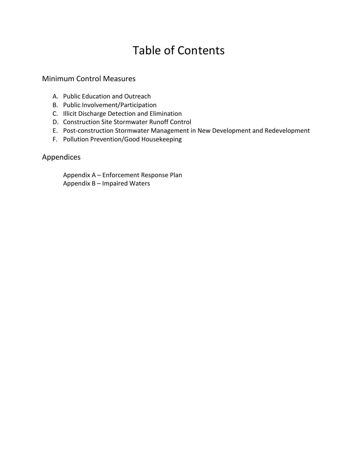## Table of Contents

### Minimum Control Measures

- A. Public Education and Outreach
- B. Public Involvement/Participation
- C. Illicit Discharge Detection and Elimination
- D. Construction Site Stormwater Runoff Control
- E. Post-construction Stormwater Management in New Development and Redevelopment
- F. Pollution Prevention/Good Housekeeping

## Appendices

Appendix A – Enforcement Response Plan Appendix B – Impaired Waters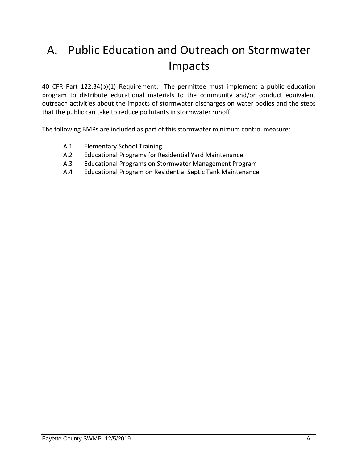# A. Public Education and Outreach on Stormwater Impacts

40 CFR Part 122.34(b)(1) Requirement: The permittee must implement a public education program to distribute educational materials to the community and/or conduct equivalent outreach activities about the impacts of stormwater discharges on water bodies and the steps that the public can take to reduce pollutants in stormwater runoff.

The following BMPs are included as part of this stormwater minimum control measure:

- A.1 Elementary School Training
- A.2 Educational Programs for Residential Yard Maintenance
- A.3 Educational Programs on Stormwater Management Program
- A.4 Educational Program on Residential Septic Tank Maintenance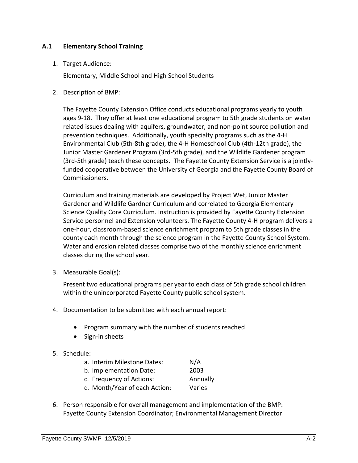#### **A.1 Elementary School Training**

1. Target Audience:

Elementary, Middle School and High School Students

2. Description of BMP:

The Fayette County Extension Office conducts educational programs yearly to youth ages 9-18. They offer at least one educational program to 5th grade students on water related issues dealing with aquifers, groundwater, and non-point source pollution and prevention techniques. Additionally, youth specialty programs such as the 4-H Environmental Club (5th-8th grade), the 4-H Homeschool Club (4th-12th grade), the Junior Master Gardener Program (3rd-5th grade), and the Wildlife Gardener program (3rd-5th grade) teach these concepts. The Fayette County Extension Service is a jointlyfunded cooperative between the University of Georgia and the Fayette County Board of Commissioners.

Curriculum and training materials are developed by Project Wet, Junior Master Gardener and Wildlife Gardner Curriculum and correlated to Georgia Elementary Science Quality Core Curriculum. Instruction is provided by Fayette County Extension Service personnel and Extension volunteers. The Fayette County 4-H program delivers a one-hour, classroom-based science enrichment program to 5th grade classes in the county each month through the science program in the Fayette County School System. Water and erosion related classes comprise two of the monthly science enrichment classes during the school year.

3. Measurable Goal(s):

Present two educational programs per year to each class of 5th grade school children within the unincorporated Fayette County public school system.

- 4. Documentation to be submitted with each annual report:
	- Program summary with the number of students reached
	- Sign-in sheets
- 5. Schedule:

| a. Interim Milestone Dates:   | N/A      |
|-------------------------------|----------|
| b. Implementation Date:       | 2003     |
| c. Frequency of Actions:      | Annually |
| d. Month/Year of each Action: | Varies   |

6. Person responsible for overall management and implementation of the BMP: Fayette County Extension Coordinator; Environmental Management Director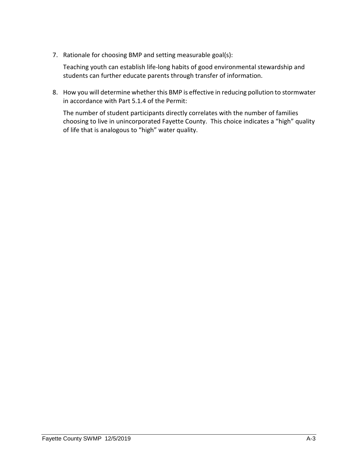7. Rationale for choosing BMP and setting measurable goal(s):

Teaching youth can establish life-long habits of good environmental stewardship and students can further educate parents through transfer of information.

8. How you will determine whether this BMP is effective in reducing pollution to stormwater in accordance with Part 5.1.4 of the Permit:

The number of student participants directly correlates with the number of families choosing to live in unincorporated Fayette County. This choice indicates a "high" quality of life that is analogous to "high" water quality.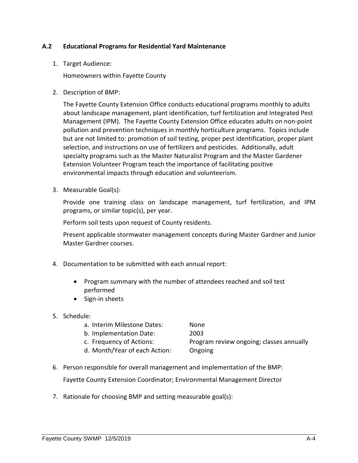#### **A.2 Educational Programs for Residential Yard Maintenance**

1. Target Audience:

Homeowners within Fayette County

2. Description of BMP:

The Fayette County Extension Office conducts educational programs monthly to adults about landscape management, plant identification, turf fertilization and Integrated Pest Management (IPM). The Fayette County Extension Office educates adults on non-point pollution and prevention techniques in monthly horticulture programs. Topics include but are not limited to: promotion of soil testing, proper pest identification, proper plant selection, and instructions on use of fertilizers and pesticides. Additionally, adult specialty programs such as the Master Naturalist Program and the Master Gardener Extension Volunteer Program teach the importance of facilitating positive environmental impacts through education and volunteerism.

3. Measurable Goal(s):

Provide one training class on landscape management, turf fertilization, and IPM programs, or similar topic(s), per year.

Perform soil tests upon request of County residents.

Present applicable stormwater management concepts during Master Gardner and Junior Master Gardner courses.

- 4. Documentation to be submitted with each annual report:
	- Program summary with the number of attendees reached and soil test performed
	- Sign-in sheets
- 5. Schedule:

| a. Interim Milestone Dates:   | None                                     |
|-------------------------------|------------------------------------------|
| b. Implementation Date:       | 2003                                     |
| c. Frequency of Actions:      | Program review ongoing; classes annually |
| d. Month/Year of each Action: | Ongoing                                  |

- 6. Person responsible for overall management and implementation of the BMP: Fayette County Extension Coordinator; Environmental Management Director
- 7. Rationale for choosing BMP and setting measurable goal(s):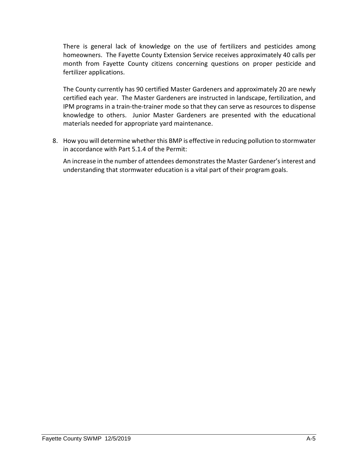There is general lack of knowledge on the use of fertilizers and pesticides among homeowners. The Fayette County Extension Service receives approximately 40 calls per month from Fayette County citizens concerning questions on proper pesticide and fertilizer applications.

The County currently has 90 certified Master Gardeners and approximately 20 are newly certified each year. The Master Gardeners are instructed in landscape, fertilization, and IPM programs in a train-the-trainer mode so that they can serve as resources to dispense knowledge to others. Junior Master Gardeners are presented with the educational materials needed for appropriate yard maintenance.

8. How you will determine whether this BMP is effective in reducing pollution to stormwater in accordance with Part 5.1.4 of the Permit:

An increase in the number of attendees demonstrates the Master Gardener's interest and understanding that stormwater education is a vital part of their program goals.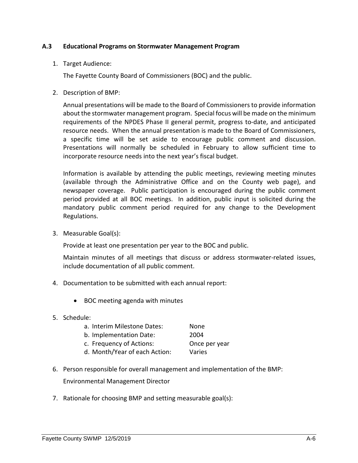#### **A.3 Educational Programs on Stormwater Management Program**

1. Target Audience:

The Fayette County Board of Commissioners (BOC) and the public.

2. Description of BMP:

Annual presentations will be made to the Board of Commissioners to provide information about the stormwater management program. Special focus will be made on the minimum requirements of the NPDES Phase II general permit, progress to-date, and anticipated resource needs. When the annual presentation is made to the Board of Commissioners, a specific time will be set aside to encourage public comment and discussion. Presentations will normally be scheduled in February to allow sufficient time to incorporate resource needs into the next year's fiscal budget.

Information is available by attending the public meetings, reviewing meeting minutes (available through the Administrative Office and on the County web page), and newspaper coverage. Public participation is encouraged during the public comment period provided at all BOC meetings. In addition, public input is solicited during the mandatory public comment period required for any change to the Development Regulations.

3. Measurable Goal(s):

Provide at least one presentation per year to the BOC and public.

Maintain minutes of all meetings that discuss or address stormwater-related issues, include documentation of all public comment.

- 4. Documentation to be submitted with each annual report:
	- BOC meeting agenda with minutes
- 5. Schedule:

| a. Interim Milestone Dates:   | None          |
|-------------------------------|---------------|
| b. Implementation Date:       | 2004          |
| c. Frequency of Actions:      | Once per year |
| d. Month/Year of each Action: | Varies        |

- 6. Person responsible for overall management and implementation of the BMP: Environmental Management Director
- 7. Rationale for choosing BMP and setting measurable goal(s):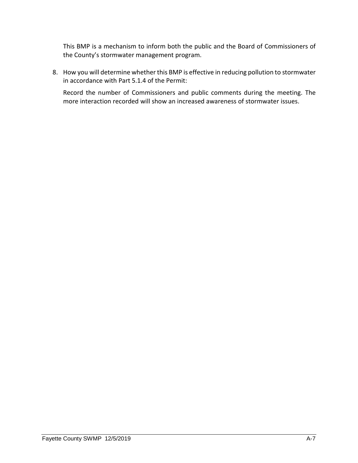This BMP is a mechanism to inform both the public and the Board of Commissioners of the County's stormwater management program.

8. How you will determine whether this BMP is effective in reducing pollution to stormwater in accordance with Part 5.1.4 of the Permit:

Record the number of Commissioners and public comments during the meeting. The more interaction recorded will show an increased awareness of stormwater issues.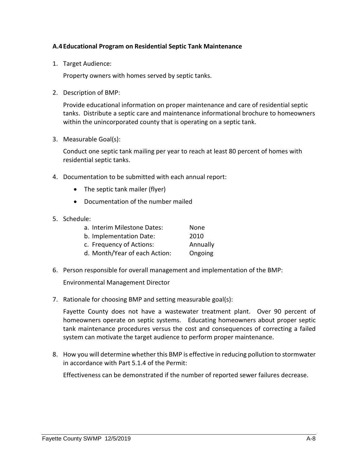#### **A.4Educational Program on Residential Septic Tank Maintenance**

1. Target Audience:

Property owners with homes served by septic tanks.

2. Description of BMP:

Provide educational information on proper maintenance and care of residential septic tanks. Distribute a septic care and maintenance informational brochure to homeowners within the unincorporated county that is operating on a septic tank.

3. Measurable Goal(s):

Conduct one septic tank mailing per year to reach at least 80 percent of homes with residential septic tanks.

- 4. Documentation to be submitted with each annual report:
	- The septic tank mailer (flyer)
	- Documentation of the number mailed
- 5. Schedule:

| a. Interim Milestone Dates:   | None     |
|-------------------------------|----------|
| b. Implementation Date:       | 2010     |
| c. Frequency of Actions:      | Annually |
| d. Month/Year of each Action: | Ongoing  |

6. Person responsible for overall management and implementation of the BMP:

Environmental Management Director

7. Rationale for choosing BMP and setting measurable goal(s):

Fayette County does not have a wastewater treatment plant. Over 90 percent of homeowners operate on septic systems. Educating homeowners about proper septic tank maintenance procedures versus the cost and consequences of correcting a failed system can motivate the target audience to perform proper maintenance.

8. How you will determine whether this BMP is effective in reducing pollution to stormwater in accordance with Part 5.1.4 of the Permit:

Effectiveness can be demonstrated if the number of reported sewer failures decrease.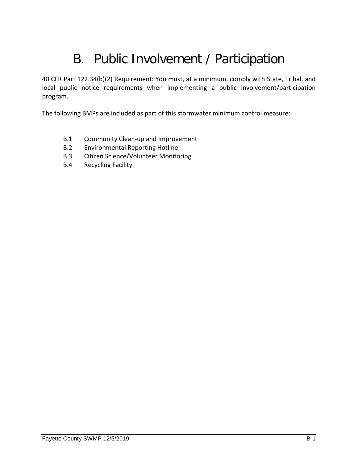# B. Public Involvement / Participation

40 CFR Part 122.34(b)(2) Requirement: You must, at a minimum, comply with State, Tribal, and local public notice requirements when implementing a public involvement/participation program.

The following BMPs are included as part of this stormwater minimum control measure:

- B.1 Community Clean-up and Improvement
- B.2 Environmental Reporting Hotline
- B.3 Citizen Science/Volunteer Monitoring
- B.4 Recycling Facility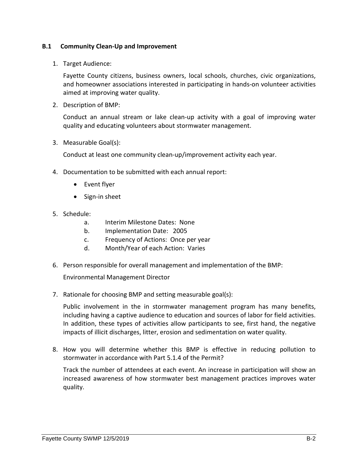#### **B.1 Community Clean-Up and Improvement**

1. Target Audience:

Fayette County citizens, business owners, local schools, churches, civic organizations, and homeowner associations interested in participating in hands-on volunteer activities aimed at improving water quality.

2. Description of BMP:

Conduct an annual stream or lake clean-up activity with a goal of improving water quality and educating volunteers about stormwater management.

3. Measurable Goal(s):

Conduct at least one community clean-up/improvement activity each year.

- 4. Documentation to be submitted with each annual report:
	- Event flyer
	- Sign-in sheet
- 5. Schedule:
	- a. Interim Milestone Dates: None
	- b. Implementation Date: 2005
	- c. Frequency of Actions: Once per year
	- d. Month/Year of each Action: Varies
- 6. Person responsible for overall management and implementation of the BMP:

Environmental Management Director

7. Rationale for choosing BMP and setting measurable goal(s):

Public involvement in the in stormwater management program has many benefits, including having a captive audience to education and sources of labor for field activities. In addition, these types of activities allow participants to see, first hand, the negative impacts of illicit discharges, litter, erosion and sedimentation on water quality.

8. How you will determine whether this BMP is effective in reducing pollution to stormwater in accordance with Part 5.1.4 of the Permit?

Track the number of attendees at each event. An increase in participation will show an increased awareness of how stormwater best management practices improves water quality.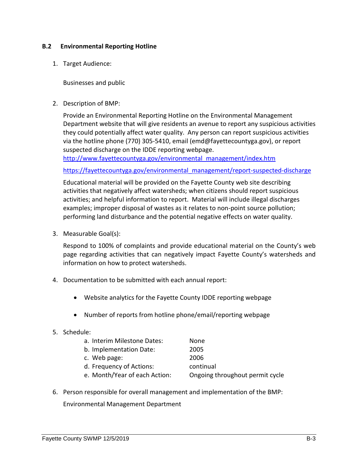#### **B.2 Environmental Reporting Hotline**

1. Target Audience:

Businesses and public

2. Description of BMP:

Provide an Environmental Reporting Hotline on the Environmental Management Department website that will give residents an avenue to report any suspicious activities they could potentially affect water quality. Any person can report suspicious activities via the hotline phone (770) 305-5410, email (emd@fayettecountyga.gov), or report suspected discharge on the IDDE reporting webpage.

[http://www.fayettecountyga.gov/environmental\\_management/index.htm](http://www.fayettecountyga.gov/environmental_management/index.htm)

[https://fayettecountyga.gov/environmental\\_management/report-suspected-discharge](https://fayettecountyga.gov/environmental_management/report-suspected-discharge)

Educational material will be provided on the Fayette County web site describing activities that negatively affect watersheds; when citizens should report suspicious activities; and helpful information to report. Material will include illegal discharges examples; improper disposal of wastes as it relates to non-point source pollution; performing land disturbance and the potential negative effects on water quality.

3. Measurable Goal(s):

Respond to 100% of complaints and provide educational material on the County's web page regarding activities that can negatively impact Fayette County's watersheds and information on how to protect watersheds.

- 4. Documentation to be submitted with each annual report:
	- Website analytics for the Fayette County IDDE reporting webpage
	- Number of reports from hotline phone/email/reporting webpage

#### 5. Schedule:

| a. Interim Milestone Dates:   | None                            |
|-------------------------------|---------------------------------|
| b. Implementation Date:       | 2005                            |
| c. Web page:                  | 2006                            |
| d. Frequency of Actions:      | continual                       |
| e. Month/Year of each Action: | Ongoing throughout permit cycle |
|                               |                                 |

6. Person responsible for overall management and implementation of the BMP:

Environmental Management Department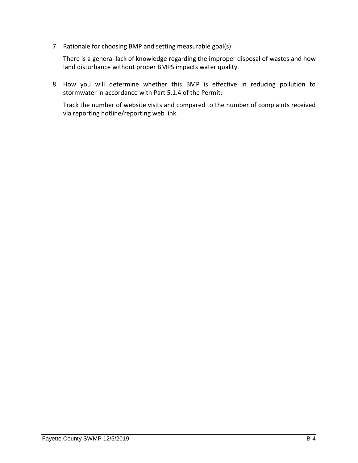7. Rationale for choosing BMP and setting measurable goal(s):

There is a general lack of knowledge regarding the improper disposal of wastes and how land disturbance without proper BMPS impacts water quality.

8. How you will determine whether this BMP is effective in reducing pollution to stormwater in accordance with Part 5.1.4 of the Permit:

Track the number of website visits and compared to the number of complaints received via reporting hotline/reporting web link.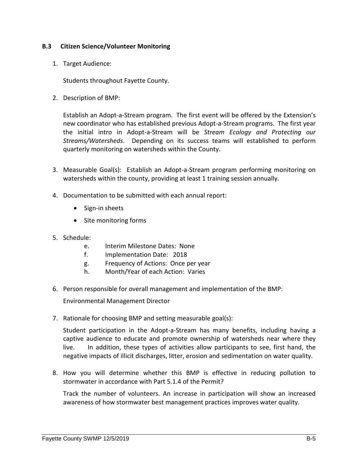#### **B.3 Citizen Science/Volunteer Monitoring**

1. Target Audience:

Students throughout Fayette County.

2. Description of BMP:

Establish an Adopt-a-Stream program. The first event will be offered by the Extension's new coordinator who has established previous Adopt-a-Stream programs. The first year the initial intro in Adopt-a-Stream will be *Stream Ecology and Protecting our Streams/Watersheds*. Depending on its success teams will established to perform quarterly monitoring on watersheds within the County.

- 3. Measurable Goal(s): Establish an Adopt-a-Stream program performing monitoring on watersheds within the county, providing at least 1 training session annually.
- 4. Documentation to be submitted with each annual report:
	- Sign-in sheets
	- Site monitoring forms
- 5. Schedule:
	- e. Interim Milestone Dates: None
	- f. Implementation Date: 2018
	- g. Frequency of Actions: Once per year
	- h. Month/Year of each Action: Varies
- 6. Person responsible for overall management and implementation of the BMP:

Environmental Management Director

7. Rationale for choosing BMP and setting measurable goal(s):

Student participation in the Adopt-a-Stream has many benefits, including having a captive audience to educate and promote ownership of watersheds near where they live. In addition, these types of activities allow participants to see, first hand, the negative impacts of illicit discharges, litter, erosion and sedimentation on water quality.

8. How you will determine whether this BMP is effective in reducing pollution to stormwater in accordance with Part 5.1.4 of the Permit?

Track the number of volunteers. An increase in participation will show an increased awareness of how stormwater best management practices improves water quality.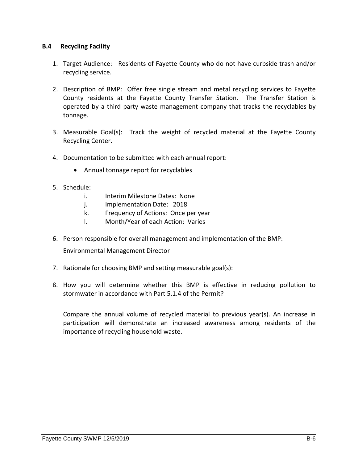#### **B.4 Recycling Facility**

- 1. Target Audience: Residents of Fayette County who do not have curbside trash and/or recycling service.
- 2. Description of BMP: Offer free single stream and metal recycling services to Fayette County residents at the Fayette County Transfer Station. The Transfer Station is operated by a third party waste management company that tracks the recyclables by tonnage.
- 3. Measurable Goal(s): Track the weight of recycled material at the Fayette County Recycling Center.
- 4. Documentation to be submitted with each annual report:
	- Annual tonnage report for recyclables
- 5. Schedule:
	- i. Interim Milestone Dates: None
	- j. Implementation Date: 2018
	- k. Frequency of Actions: Once per year
	- l. Month/Year of each Action: Varies
- 6. Person responsible for overall management and implementation of the BMP:

Environmental Management Director

- 7. Rationale for choosing BMP and setting measurable goal(s):
- 8. How you will determine whether this BMP is effective in reducing pollution to stormwater in accordance with Part 5.1.4 of the Permit?

Compare the annual volume of recycled material to previous year(s). An increase in participation will demonstrate an increased awareness among residents of the importance of recycling household waste.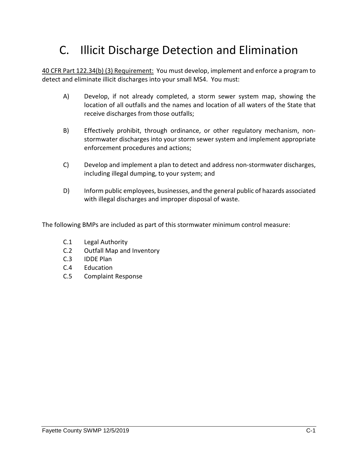## C. Illicit Discharge Detection and Elimination

40 CFR Part 122.34(b) (3) Requirement: You must develop, implement and enforce a program to detect and eliminate illicit discharges into your small MS4. You must:

- A) Develop, if not already completed, a storm sewer system map, showing the location of all outfalls and the names and location of all waters of the State that receive discharges from those outfalls;
- B) Effectively prohibit, through ordinance, or other regulatory mechanism, nonstormwater discharges into your storm sewer system and implement appropriate enforcement procedures and actions;
- C) Develop and implement a plan to detect and address non-stormwater discharges, including illegal dumping, to your system; and
- D) Inform public employees, businesses, and the general public of hazards associated with illegal discharges and improper disposal of waste.

The following BMPs are included as part of this stormwater minimum control measure:

- C.1 Legal Authority
- C.2 Outfall Map and Inventory
- C.3 IDDE Plan
- C.4 Education
- C.5 Complaint Response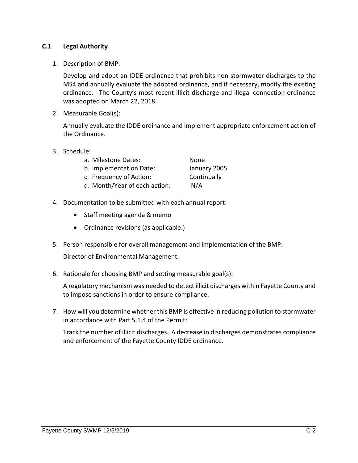#### **C.1 Legal Authority**

1. Description of BMP:

Develop and adopt an IDDE ordinance that prohibits non-stormwater discharges to the MS4 and annually evaluate the adopted ordinance, and if necessary, modify the existing ordinance. The County's most recent illicit discharge and illegal connection ordinance was adopted on March 22, 2018.

2. Measurable Goal(s):

Annually evaluate the IDDE ordinance and implement appropriate enforcement action of the Ordinance.

3. Schedule:

| a. Milestone Dates:           | None.        |
|-------------------------------|--------------|
| b. Implementation Date:       | January 2005 |
| c. Frequency of Action:       | Continually  |
| d. Month/Year of each action: | N/A          |

- 4. Documentation to be submitted with each annual report:
	- Staff meeting agenda & memo
	- Ordinance revisions (as applicable.)
- 5. Person responsible for overall management and implementation of the BMP:

Director of Environmental Management.

6. Rationale for choosing BMP and setting measurable goal(s):

A regulatory mechanism was needed to detect illicit discharges within Fayette County and to impose sanctions in order to ensure compliance.

7. How will you determine whether this BMP is effective in reducing pollution to stormwater in accordance with Part 5.1.4 of the Permit:

Track the number of illicit discharges. A decrease in discharges demonstrates compliance and enforcement of the Fayette County IDDE ordinance.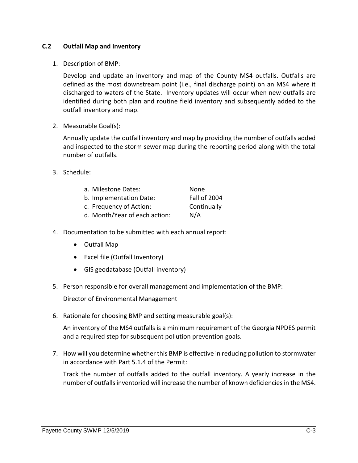#### **C.2 Outfall Map and Inventory**

1. Description of BMP:

Develop and update an inventory and map of the County MS4 outfalls. Outfalls are defined as the most downstream point (i.e., final discharge point) on an MS4 where it discharged to waters of the State. Inventory updates will occur when new outfalls are identified during both plan and routine field inventory and subsequently added to the outfall inventory and map.

2. Measurable Goal(s):

Annually update the outfall inventory and map by providing the number of outfalls added and inspected to the storm sewer map during the reporting period along with the total number of outfalls.

3. Schedule:

| a. Milestone Dates:           | None                |
|-------------------------------|---------------------|
| b. Implementation Date:       | <b>Fall of 2004</b> |
| c. Frequency of Action:       | Continually         |
| d. Month/Year of each action: | N/A                 |

- 4. Documentation to be submitted with each annual report:
	- Outfall Map
	- Excel file (Outfall Inventory)
	- GIS geodatabase (Outfall inventory)
- 5. Person responsible for overall management and implementation of the BMP:

Director of Environmental Management

6. Rationale for choosing BMP and setting measurable goal(s):

An inventory of the MS4 outfalls is a minimum requirement of the Georgia NPDES permit and a required step for subsequent pollution prevention goals.

7. How will you determine whether this BMP is effective in reducing pollution to stormwater in accordance with Part 5.1.4 of the Permit:

Track the number of outfalls added to the outfall inventory. A yearly increase in the number of outfallsinventoried will increase the number of known deficiencies in the MS4.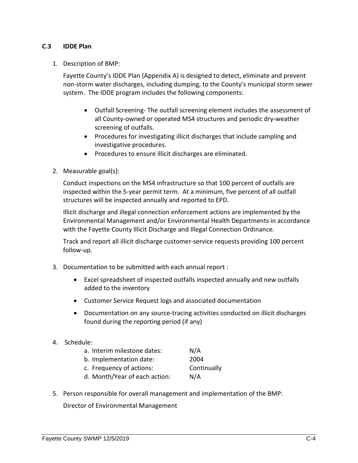#### **C.3 IDDE Plan**

1. Description of BMP:

Fayette County's IDDE Plan (Appendix A) is designed to detect, eliminate and prevent non-storm water discharges, including dumping, to the County's municipal storm sewer system. The IDDE program includes the following components:

- Outfall Screening- The outfall screening element includes the assessment of all County-owned or operated MS4 structures and periodic dry-weather screening of outfalls.
- Procedures for investigating illicit discharges that include sampling and investigative procedures.
- Procedures to ensure illicit discharges are eliminated.
- 2. Measurable goal(s):

Conduct inspections on the MS4 infrastructure so that 100 percent of outfalls are inspected within the 5-year permit term. At a minimum, five percent of all outfall structures will be inspected annually and reported to EPD.

Illicit discharge and illegal connection enforcement actions are implemented by the Environmental Management and/or Environmental Health Departments in accordance with the Fayette County Illicit Discharge and Illegal Connection Ordinance.

Track and report all illicit discharge customer-service requests providing 100 percent follow-up.

- 3. Documentation to be submitted with each annual report :
	- Excel spreadsheet of inspected outfalls inspected annually and new outfalls added to the inventory
	- Customer Service Request logs and associated documentation
	- Documentation on any source-tracing activities conducted on illicit discharges found during the reporting period (if any)
- 4. Schedule:
	- a. Interim milestone dates: N/A
	- b. Implementation date: 2004
	- c. Frequency of actions: Continually
	- d. Month/Year of each action: N/A
- 5. Person responsible for overall management and implementation of the BMP:

Director of Environmental Management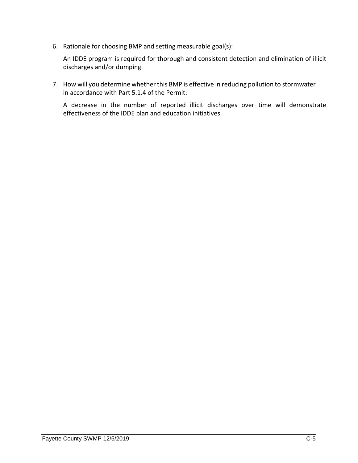6. Rationale for choosing BMP and setting measurable goal(s):

An IDDE program is required for thorough and consistent detection and elimination of illicit discharges and/or dumping.

7. How will you determine whether this BMP is effective in reducing pollution to stormwater in accordance with Part 5.1.4 of the Permit:

A decrease in the number of reported illicit discharges over time will demonstrate effectiveness of the IDDE plan and education initiatives.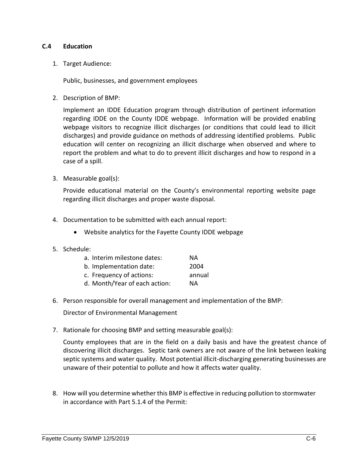## **C.4 Education**

1. Target Audience:

Public, businesses, and government employees

2. Description of BMP:

Implement an IDDE Education program through distribution of pertinent information regarding IDDE on the County IDDE webpage. Information will be provided enabling webpage visitors to recognize illicit discharges (or conditions that could lead to illicit discharges) and provide guidance on methods of addressing identified problems. Public education will center on recognizing an illicit discharge when observed and where to report the problem and what to do to prevent illicit discharges and how to respond in a case of a spill.

3. Measurable goal(s):

Provide educational material on the County's environmental reporting website page regarding illicit discharges and proper waste disposal.

- 4. Documentation to be submitted with each annual report:
	- Website analytics for the Fayette County IDDE webpage
- 5. Schedule:

| a. Interim milestone dates:   | NА     |
|-------------------------------|--------|
| b. Implementation date:       | 2004   |
| c. Frequency of actions:      | annual |
| d. Month/Year of each action: | NА     |

6. Person responsible for overall management and implementation of the BMP:

Director of Environmental Management

7. Rationale for choosing BMP and setting measurable goal(s):

County employees that are in the field on a daily basis and have the greatest chance of discovering illicit discharges. Septic tank owners are not aware of the link between leaking septic systems and water quality. Most potential illicit-discharging generating businesses are unaware of their potential to pollute and how it affects water quality.

8. How will you determine whether this BMP is effective in reducing pollution to stormwater in accordance with Part 5.1.4 of the Permit: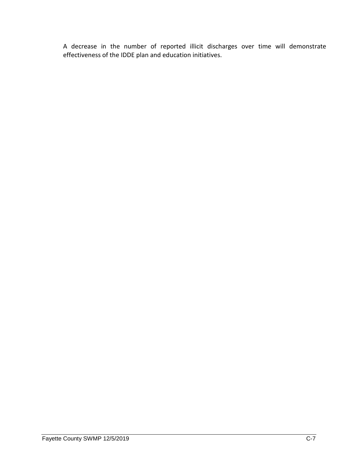A decrease in the number of reported illicit discharges over time will demonstrate effectiveness of the IDDE plan and education initiatives.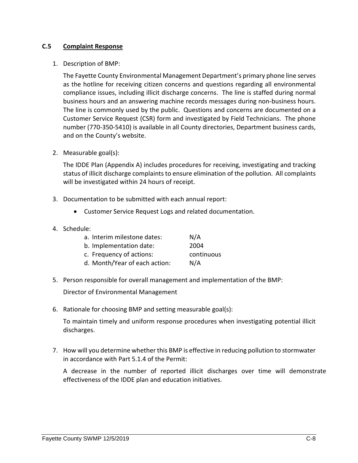## **C.5 Complaint Response**

#### 1. Description of BMP:

The Fayette County Environmental Management Department's primary phone line serves as the hotline for receiving citizen concerns and questions regarding all environmental compliance issues, including illicit discharge concerns. The line is staffed during normal business hours and an answering machine records messages during non-business hours. The line is commonly used by the public. Questions and concerns are documented on a Customer Service Request (CSR) form and investigated by Field Technicians. The phone number (770-350-5410) is available in all County directories, Department business cards, and on the County's website.

2. Measurable goal(s):

The IDDE Plan (Appendix A) includes procedures for receiving, investigating and tracking status of illicit discharge complaints to ensure elimination of the pollution. All complaints will be investigated within 24 hours of receipt.

- 3. Documentation to be submitted with each annual report:
	- Customer Service Request Logs and related documentation.
- 4. Schedule:

| a. Interim milestone dates:   | N/A        |
|-------------------------------|------------|
| b. Implementation date:       | 2004       |
| c. Frequency of actions:      | continuous |
| d. Month/Year of each action: | N/A        |

5. Person responsible for overall management and implementation of the BMP:

Director of Environmental Management

6. Rationale for choosing BMP and setting measurable goal(s):

To maintain timely and uniform response procedures when investigating potential illicit discharges.

7. How will you determine whether this BMP is effective in reducing pollution to stormwater in accordance with Part 5.1.4 of the Permit:

A decrease in the number of reported illicit discharges over time will demonstrate effectiveness of the IDDE plan and education initiatives.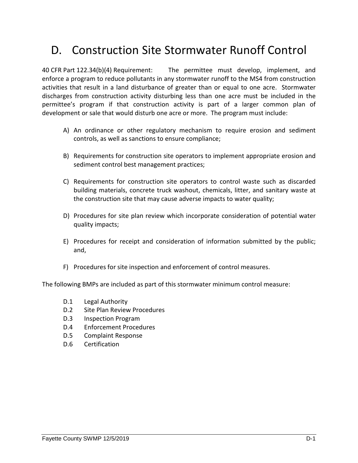# D. Construction Site Stormwater Runoff Control

40 CFR Part 122.34(b)(4) Requirement: The permittee must develop, implement, and enforce a program to reduce pollutants in any stormwater runoff to the MS4 from construction activities that result in a land disturbance of greater than or equal to one acre. Stormwater discharges from construction activity disturbing less than one acre must be included in the permittee's program if that construction activity is part of a larger common plan of development or sale that would disturb one acre or more. The program must include:

- A) An ordinance or other regulatory mechanism to require erosion and sediment controls, as well as sanctions to ensure compliance;
- B) Requirements for construction site operators to implement appropriate erosion and sediment control best management practices;
- C) Requirements for construction site operators to control waste such as discarded building materials, concrete truck washout, chemicals, litter, and sanitary waste at the construction site that may cause adverse impacts to water quality;
- D) Procedures for site plan review which incorporate consideration of potential water quality impacts;
- E) Procedures for receipt and consideration of information submitted by the public; and,
- F) Procedures for site inspection and enforcement of control measures.

The following BMPs are included as part of this stormwater minimum control measure:

- D.1 Legal Authority
- D.2 Site Plan Review Procedures
- D.3 Inspection Program
- D.4 Enforcement Procedures
- D.5 Complaint Response
- D.6 Certification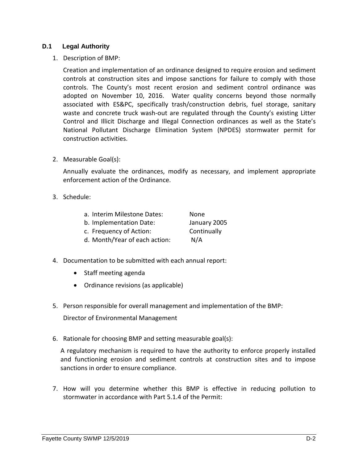## **D.1 Legal Authority**

1. Description of BMP:

Creation and implementation of an ordinance designed to require erosion and sediment controls at construction sites and impose sanctions for failure to comply with those controls. The County's most recent erosion and sediment control ordinance was adopted on November 10, 2016. Water quality concerns beyond those normally associated with ES&PC, specifically trash/construction debris, fuel storage, sanitary waste and concrete truck wash-out are regulated through the County's existing Litter Control and Illicit Discharge and Illegal Connection ordinances as well as the State's National Pollutant Discharge Elimination System (NPDES) stormwater permit for construction activities.

2. Measurable Goal(s):

Annually evaluate the ordinances, modify as necessary, and implement appropriate enforcement action of the Ordinance.

3. Schedule:

| a. Interim Milestone Dates:   | None         |
|-------------------------------|--------------|
| b. Implementation Date:       | January 2005 |
| c. Frequency of Action:       | Continually  |
| d. Month/Year of each action: | N/A          |

- 4. Documentation to be submitted with each annual report:
	- Staff meeting agenda
	- Ordinance revisions (as applicable)
- 5. Person responsible for overall management and implementation of the BMP:

Director of Environmental Management

6. Rationale for choosing BMP and setting measurable goal(s):

A regulatory mechanism is required to have the authority to enforce properly installed and functioning erosion and sediment controls at construction sites and to impose sanctions in order to ensure compliance.

7. How will you determine whether this BMP is effective in reducing pollution to stormwater in accordance with Part 5.1.4 of the Permit: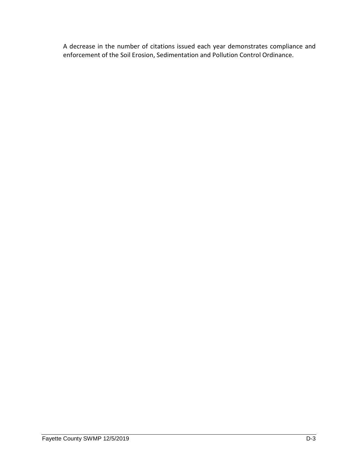A decrease in the number of citations issued each year demonstrates compliance and enforcement of the Soil Erosion, Sedimentation and Pollution Control Ordinance.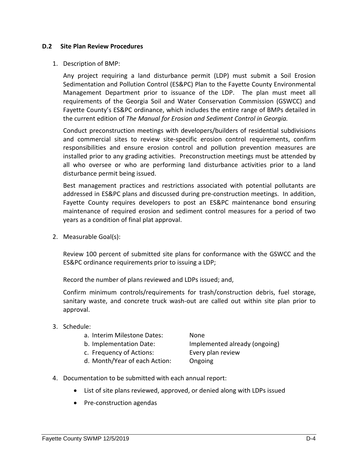#### **D.2 Site Plan Review Procedures**

#### 1. Description of BMP:

Any project requiring a land disturbance permit (LDP) must submit a Soil Erosion Sedimentation and Pollution Control (ES&PC) Plan to the Fayette County Environmental Management Department prior to issuance of the LDP. The plan must meet all requirements of the Georgia Soil and Water Conservation Commission (GSWCC) and Fayette County's ES&PC ordinance, which includes the entire range of BMPs detailed in the current edition of *The Manual for Erosion and Sediment Control in Georgia.*

Conduct preconstruction meetings with developers/builders of residential subdivisions and commercial sites to review site-specific erosion control requirements, confirm responsibilities and ensure erosion control and pollution prevention measures are installed prior to any grading activities. Preconstruction meetings must be attended by all who oversee or who are performing land disturbance activities prior to a land disturbance permit being issued.

Best management practices and restrictions associated with potential pollutants are addressed in ES&PC plans and discussed during pre-construction meetings. In addition, Fayette County requires developers to post an ES&PC maintenance bond ensuring maintenance of required erosion and sediment control measures for a period of two years as a condition of final plat approval.

2. Measurable Goal(s):

Review 100 percent of submitted site plans for conformance with the GSWCC and the ES&PC ordinance requirements prior to issuing a LDP;

Record the number of plans reviewed and LDPs issued; and,

Confirm minimum controls/requirements for trash/construction debris, fuel storage, sanitary waste, and concrete truck wash-out are called out within site plan prior to approval.

3. Schedule:

|  |  | a. Interim Milestone Dates: |  | None |
|--|--|-----------------------------|--|------|
|--|--|-----------------------------|--|------|

- 
- c. Frequency of Actions: Every plan review
- d. Month/Year of each Action: Ongoing

b. Implementation Date: Implemented already (ongoing)

- 4. Documentation to be submitted with each annual report:
	- List of site plans reviewed, approved, or denied along with LDPs issued
	- Pre-construction agendas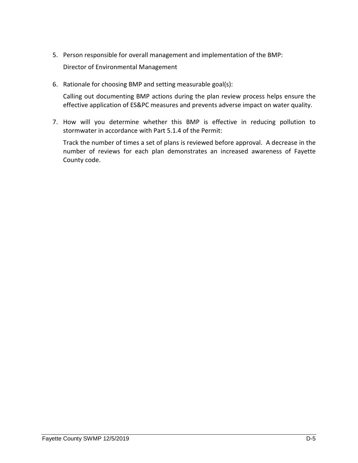5. Person responsible for overall management and implementation of the BMP:

Director of Environmental Management

6. Rationale for choosing BMP and setting measurable goal(s):

Calling out documenting BMP actions during the plan review process helps ensure the effective application of ES&PC measures and prevents adverse impact on water quality.

7. How will you determine whether this BMP is effective in reducing pollution to stormwater in accordance with Part 5.1.4 of the Permit:

Track the number of times a set of plans is reviewed before approval. A decrease in the number of reviews for each plan demonstrates an increased awareness of Fayette County code.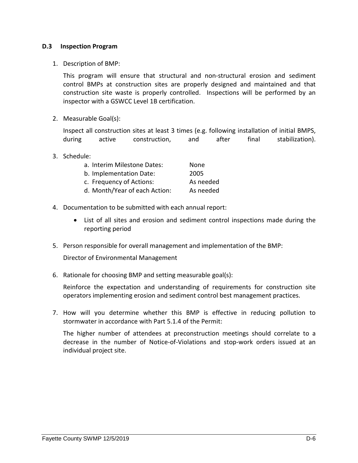## **D.3 Inspection Program**

1. Description of BMP:

This program will ensure that structural and non-structural erosion and sediment control BMPs at construction sites are properly designed and maintained and that construction site waste is properly controlled. Inspections will be performed by an inspector with a GSWCC Level 1B certification.

2. Measurable Goal(s):

Inspect all construction sites at least 3 times (e.g. following installation of initial BMPS, during active construction, and after final stabilization).

3. Schedule:

| a. Interim Milestone Dates:   | None      |
|-------------------------------|-----------|
| b. Implementation Date:       | 2005      |
| c. Frequency of Actions:      | As needed |
| d. Month/Year of each Action: | As needed |

- 4. Documentation to be submitted with each annual report:
	- List of all sites and erosion and sediment control inspections made during the reporting period
- 5. Person responsible for overall management and implementation of the BMP:

Director of Environmental Management

6. Rationale for choosing BMP and setting measurable goal(s):

Reinforce the expectation and understanding of requirements for construction site operators implementing erosion and sediment control best management practices.

7. How will you determine whether this BMP is effective in reducing pollution to stormwater in accordance with Part 5.1.4 of the Permit:

The higher number of attendees at preconstruction meetings should correlate to a decrease in the number of Notice-of-Violations and stop-work orders issued at an individual project site.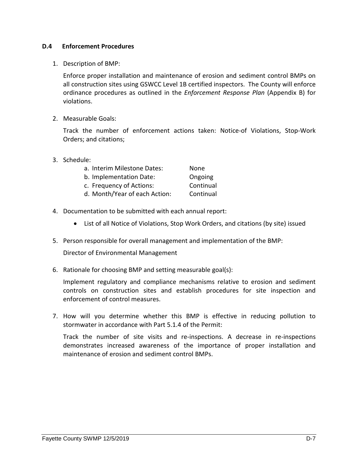## **D.4 Enforcement Procedures**

1. Description of BMP:

Enforce proper installation and maintenance of erosion and sediment control BMPs on all construction sites using GSWCC Level 1B certified inspectors. The County will enforce ordinance procedures as outlined in the *Enforcement Response Plan* (Appendix B) for violations.

2. Measurable Goals:

Track the number of enforcement actions taken: Notice-of Violations, Stop-Work Orders; and citations;

3. Schedule:

| a. Interim Milestone Dates:   | None      |
|-------------------------------|-----------|
| b. Implementation Date:       | Ongoing   |
| c. Frequency of Actions:      | Continual |
| d. Month/Year of each Action: | Continual |

- 4. Documentation to be submitted with each annual report:
	- List of all Notice of Violations, Stop Work Orders, and citations (by site) issued
- 5. Person responsible for overall management and implementation of the BMP:

Director of Environmental Management

6. Rationale for choosing BMP and setting measurable goal(s):

Implement regulatory and compliance mechanisms relative to erosion and sediment controls on construction sites and establish procedures for site inspection and enforcement of control measures.

7. How will you determine whether this BMP is effective in reducing pollution to stormwater in accordance with Part 5.1.4 of the Permit:

Track the number of site visits and re-inspections. A decrease in re-inspections demonstrates increased awareness of the importance of proper installation and maintenance of erosion and sediment control BMPs.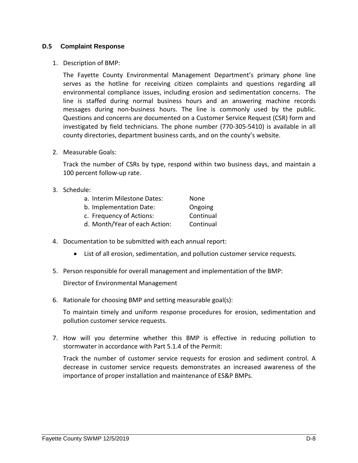## **D.5 Complaint Response**

1. Description of BMP:

The Fayette County Environmental Management Department's primary phone line serves as the hotline for receiving citizen complaints and questions regarding all environmental compliance issues, including erosion and sedimentation concerns. The line is staffed during normal business hours and an answering machine records messages during non-business hours. The line is commonly used by the public. Questions and concerns are documented on a Customer Service Request (CSR) form and investigated by field technicians. The phone number (770-305-5410) is available in all county directories, department business cards, and on the county's website.

2. Measurable Goals:

Track the number of CSRs by type, respond within two business days, and maintain a 100 percent follow-up rate.

3. Schedule:

| a. Interim Milestone Dates:   | None      |
|-------------------------------|-----------|
| b. Implementation Date:       | Ongoing   |
| c. Frequency of Actions:      | Continual |
| d. Month/Year of each Action: | Continual |

- 4. Documentation to be submitted with each annual report:
	- List of all erosion, sedimentation, and pollution customer service requests.
- 5. Person responsible for overall management and implementation of the BMP:

Director of Environmental Management

6. Rationale for choosing BMP and setting measurable goal(s):

To maintain timely and uniform response procedures for erosion, sedimentation and pollution customer service requests.

7. How will you determine whether this BMP is effective in reducing pollution to stormwater in accordance with Part 5.1.4 of the Permit:

Track the number of customer service requests for erosion and sediment control. A decrease in customer service requests demonstrates an increased awareness of the importance of proper installation and maintenance of ES&P BMPs.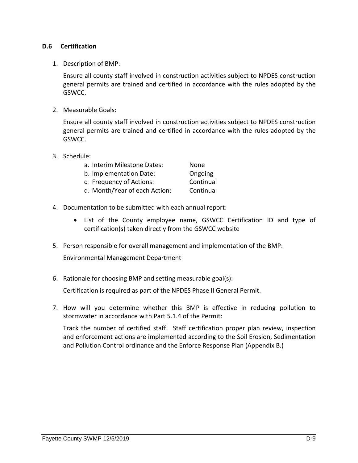# **D.6 Certification**

1. Description of BMP:

Ensure all county staff involved in construction activities subject to NPDES construction general permits are trained and certified in accordance with the rules adopted by the GSWCC.

2. Measurable Goals:

Ensure all county staff involved in construction activities subject to NPDES construction general permits are trained and certified in accordance with the rules adopted by the GSWCC.

3. Schedule:

| a. Interim Milestone Dates:   | None      |
|-------------------------------|-----------|
| b. Implementation Date:       | Ongoing   |
| c. Frequency of Actions:      | Continual |
| d. Month/Year of each Action: | Continual |

- 4. Documentation to be submitted with each annual report:
	- List of the County employee name, GSWCC Certification ID and type of certification(s) taken directly from the GSWCC website
- 5. Person responsible for overall management and implementation of the BMP:

Environmental Management Department

6. Rationale for choosing BMP and setting measurable goal(s):

Certification is required as part of the NPDES Phase II General Permit.

7. How will you determine whether this BMP is effective in reducing pollution to stormwater in accordance with Part 5.1.4 of the Permit:

Track the number of certified staff. Staff certification proper plan review, inspection and enforcement actions are implemented according to the Soil Erosion, Sedimentation and Pollution Control ordinance and the Enforce Response Plan (Appendix B.)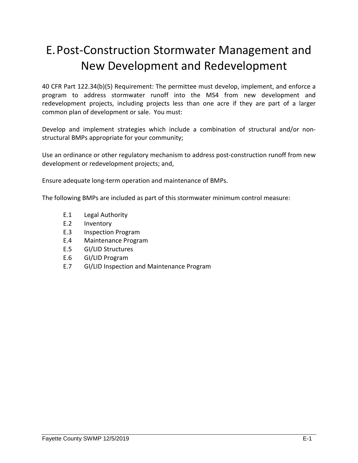# E.Post-Construction Stormwater Management and New Development and Redevelopment

40 CFR Part 122.34(b)(5) Requirement: The permittee must develop, implement, and enforce a program to address stormwater runoff into the MS4 from new development and redevelopment projects, including projects less than one acre if they are part of a larger common plan of development or sale. You must:

Develop and implement strategies which include a combination of structural and/or nonstructural BMPs appropriate for your community;

Use an ordinance or other regulatory mechanism to address post-construction runoff from new development or redevelopment projects; and,

Ensure adequate long-term operation and maintenance of BMPs.

The following BMPs are included as part of this stormwater minimum control measure:

- E.1 Legal Authority
- E.2 Inventory
- E.3 Inspection Program
- E.4 Maintenance Program
- E.5 GI/LID Structures
- E.6 GI/LID Program
- E.7 GI/LID Inspection and Maintenance Program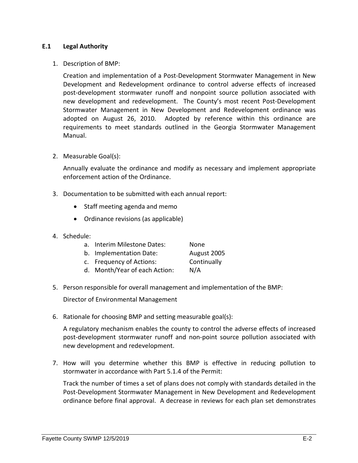## **E.1 Legal Authority**

#### 1. Description of BMP:

Creation and implementation of a Post-Development Stormwater Management in New Development and Redevelopment ordinance to control adverse effects of increased post-development stormwater runoff and nonpoint source pollution associated with new development and redevelopment. The County's most recent Post-Development Stormwater Management in New Development and Redevelopment ordinance was adopted on August 26, 2010. Adopted by reference within this ordinance are requirements to meet standards outlined in the Georgia Stormwater Management Manual.

2. Measurable Goal(s):

Annually evaluate the ordinance and modify as necessary and implement appropriate enforcement action of the Ordinance.

- 3. Documentation to be submitted with each annual report:
	- Staff meeting agenda and memo
	- Ordinance revisions (as applicable)
- 4. Schedule:

| Interim Milestone Dates:<br>None |  |
|----------------------------------|--|
|----------------------------------|--|

- b. Implementation Date: August 2005
- c. Frequency of Actions: Continually
- d. Month/Year of each Action: N/A
- 5. Person responsible for overall management and implementation of the BMP:

Director of Environmental Management

6. Rationale for choosing BMP and setting measurable goal(s):

A regulatory mechanism enables the county to control the adverse effects of increased post-development stormwater runoff and non-point source pollution associated with new development and redevelopment.

7. How will you determine whether this BMP is effective in reducing pollution to stormwater in accordance with Part 5.1.4 of the Permit:

Track the number of times a set of plans does not comply with standards detailed in the Post-Development Stormwater Management in New Development and Redevelopment ordinance before final approval. A decrease in reviews for each plan set demonstrates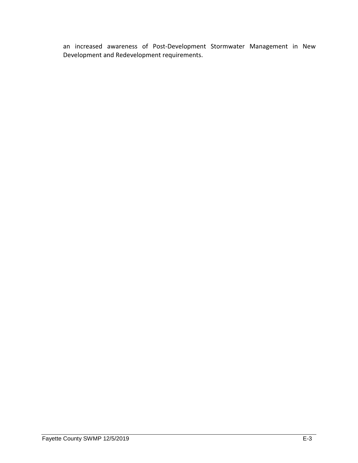an increased awareness of Post-Development Stormwater Management in New Development and Redevelopment requirements.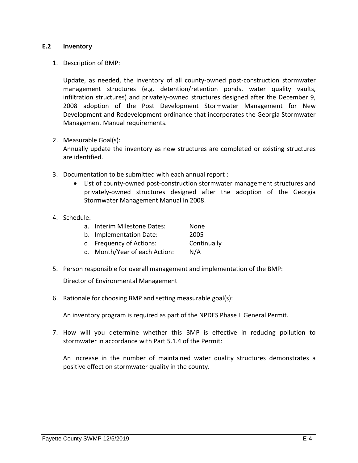## **E.2 Inventory**

1. Description of BMP:

Update, as needed, the inventory of all county-owned post-construction stormwater management structures (e.g. detention/retention ponds, water quality vaults, infiltration structures) and privately-owned structures designed after the December 9, 2008 adoption of the Post Development Stormwater Management for New Development and Redevelopment ordinance that incorporates the Georgia Stormwater Management Manual requirements.

2. Measurable Goal(s):

Annually update the inventory as new structures are completed or existing structures are identified.

- 3. Documentation to be submitted with each annual report :
	- List of county-owned post-construction stormwater management structures and privately-owned structures designed after the adoption of the Georgia Stormwater Management Manual in 2008.
- 4. Schedule:

| a <sub>z</sub> | Interim Milestone Dates:      | None        |
|----------------|-------------------------------|-------------|
|                | b. Implementation Date:       | 2005        |
|                | c. Frequency of Actions:      | Continually |
|                | d. Month/Year of each Action: | N/A         |

5. Person responsible for overall management and implementation of the BMP:

Director of Environmental Management

6. Rationale for choosing BMP and setting measurable goal(s):

An inventory program is required as part of the NPDES Phase II General Permit.

7. How will you determine whether this BMP is effective in reducing pollution to stormwater in accordance with Part 5.1.4 of the Permit:

An increase in the number of maintained water quality structures demonstrates a positive effect on stormwater quality in the county.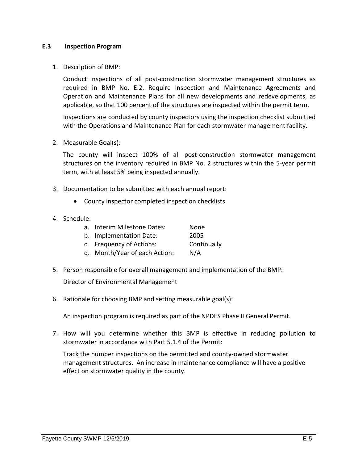## **E.3 Inspection Program**

1. Description of BMP:

Conduct inspections of all post-construction stormwater management structures as required in BMP No. E.2. Require Inspection and Maintenance Agreements and Operation and Maintenance Plans for all new developments and redevelopments, as applicable, so that 100 percent of the structures are inspected within the permit term.

Inspections are conducted by county inspectors using the inspection checklist submitted with the Operations and Maintenance Plan for each stormwater management facility.

2. Measurable Goal(s):

The county will inspect 100% of all post-construction stormwater management structures on the inventory required in BMP No. 2 structures within the 5-year permit term, with at least 5% being inspected annually.

- 3. Documentation to be submitted with each annual report:
	- County inspector completed inspection checklists
- 4. Schedule:

| $a_{1}$ | Interim Milestone Dates:      | None        |
|---------|-------------------------------|-------------|
|         | b. Implementation Date:       | 2005        |
|         | c. Frequency of Actions:      | Continually |
|         | d. Month/Year of each Action: | N/A         |

- 5. Person responsible for overall management and implementation of the BMP: Director of Environmental Management
- 6. Rationale for choosing BMP and setting measurable goal(s):

An inspection program is required as part of the NPDES Phase II General Permit.

7. How will you determine whether this BMP is effective in reducing pollution to stormwater in accordance with Part 5.1.4 of the Permit:

Track the number inspections on the permitted and county-owned stormwater management structures. An increase in maintenance compliance will have a positive effect on stormwater quality in the county.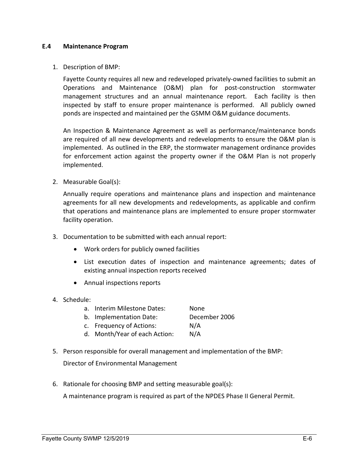#### **E.4 Maintenance Program**

#### 1. Description of BMP:

Fayette County requires all new and redeveloped privately‐owned facilities to submit an Operations and Maintenance (O&M) plan for post‐construction stormwater management structures and an annual maintenance report. Each facility is then inspected by staff to ensure proper maintenance is performed. All publicly owned ponds are inspected and maintained per the GSMM O&M guidance documents.

An Inspection & Maintenance Agreement as well as performance/maintenance bonds are required of all new developments and redevelopments to ensure the O&M plan is implemented. As outlined in the ERP, the stormwater management ordinance provides for enforcement action against the property owner if the O&M Plan is not properly implemented.

2. Measurable Goal(s):

Annually require operations and maintenance plans and inspection and maintenance agreements for all new developments and redevelopments, as applicable and confirm that operations and maintenance plans are implemented to ensure proper stormwater facility operation.

- 3. Documentation to be submitted with each annual report:
	- Work orders for publicly owned facilities
	- List execution dates of inspection and maintenance agreements; dates of existing annual inspection reports received
	- Annual inspections reports
- 4. Schedule:

| a. Interim Milestone Dates: | None |  |
|-----------------------------|------|--|
|                             |      |  |

- b. Implementation Date: December 2006
- c. Frequency of Actions: N/A
- d. Month/Year of each Action: N/A
- 5. Person responsible for overall management and implementation of the BMP:

Director of Environmental Management

6. Rationale for choosing BMP and setting measurable goal(s):

A maintenance program is required as part of the NPDES Phase II General Permit.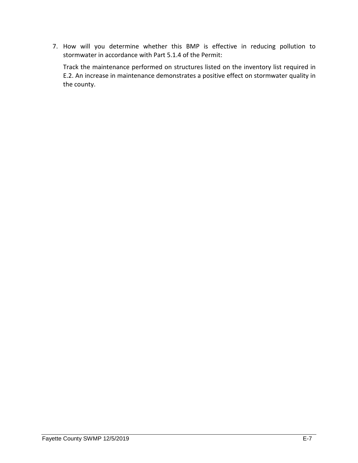7. How will you determine whether this BMP is effective in reducing pollution to stormwater in accordance with Part 5.1.4 of the Permit:

Track the maintenance performed on structures listed on the inventory list required in E.2. An increase in maintenance demonstrates a positive effect on stormwater quality in the county.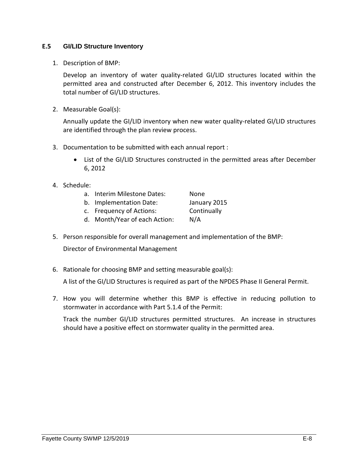# **E.5 GI/LID Structure Inventory**

1. Description of BMP:

Develop an inventory of water quality-related GI/LID structures located within the permitted area and constructed after December 6, 2012. This inventory includes the total number of GI/LID structures.

2. Measurable Goal(s):

Annually update the GI/LID inventory when new water quality-related GI/LID structures are identified through the plan review process.

- 3. Documentation to be submitted with each annual report :
	- List of the GI/LID Structures constructed in the permitted areas after December 6, 2012
- 4. Schedule:
	- a. Interim Milestone Dates: None
	- b. Implementation Date: January 2015
	- c. Frequency of Actions: Continually

- d. Month/Year of each Action: N/A
- 5. Person responsible for overall management and implementation of the BMP:

Director of Environmental Management

6. Rationale for choosing BMP and setting measurable goal(s):

A list of the GI/LID Structures is required as part of the NPDES Phase II General Permit.

7. How you will determine whether this BMP is effective in reducing pollution to stormwater in accordance with Part 5.1.4 of the Permit:

Track the number GI/LID structures permitted structures. An increase in structures should have a positive effect on stormwater quality in the permitted area.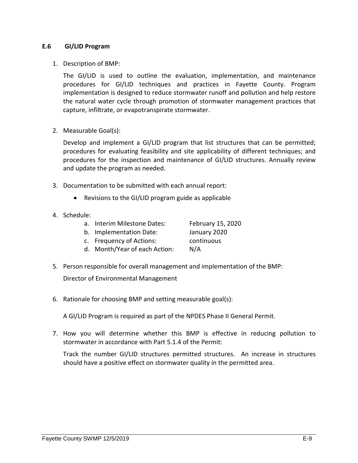## **E.6 GI/LID Program**

1. Description of BMP:

The GI/LID is used to outline the evaluation, implementation, and maintenance procedures for GI/LID techniques and practices in Fayette County. Program implementation is designed to reduce stormwater runoff and pollution and help restore the natural water cycle through promotion of stormwater management practices that capture, infiltrate, or evapotranspirate stormwater.

2. Measurable Goal(s):

Develop and implement a GI/LID program that list structures that can be permitted; procedures for evaluating feasibility and site applicability of different techniques; and procedures for the inspection and maintenance of GI/LID structures. Annually review and update the program as needed.

- 3. Documentation to be submitted with each annual report:
	- Revisions to the GI/LID program guide as applicable
- 4. Schedule:
	- a. Interim Milestone Dates: February 15, 2020
	- b. Implementation Date: January 2020

c. Frequency of Actions: continuous

- d. Month/Year of each Action: N/A
- 5. Person responsible for overall management and implementation of the BMP:

Director of Environmental Management

6. Rationale for choosing BMP and setting measurable goal(s):

A GI/LID Program is required as part of the NPDES Phase II General Permit.

7. How you will determine whether this BMP is effective in reducing pollution to stormwater in accordance with Part 5.1.4 of the Permit:

Track the number GI/LID structures permitted structures. An increase in structures should have a positive effect on stormwater quality in the permitted area.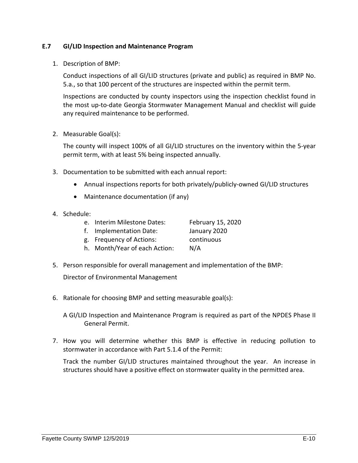## **E.7 GI/LID Inspection and Maintenance Program**

1. Description of BMP:

Conduct inspections of all GI/LID structures (private and public) as required in BMP No. 5.a., so that 100 percent of the structures are inspected within the permit term.

Inspections are conducted by county inspectors using the inspection checklist found in the most up-to-date Georgia Stormwater Management Manual and checklist will guide any required maintenance to be performed.

2. Measurable Goal(s):

The county will inspect 100% of all GI/LID structures on the inventory within the 5-year permit term, with at least 5% being inspected annually.

- 3. Documentation to be submitted with each annual report:
	- Annual inspections reports for both privately/publicly-owned GI/LID structures
	- Maintenance documentation (if any)
- 4. Schedule:
	- e. Interim Milestone Dates: February 15, 2020
	- f. Implementation Date: January 2020

g. Frequency of Actions: continuous

- h. Month/Year of each Action: N/A
- 5. Person responsible for overall management and implementation of the BMP:

Director of Environmental Management

6. Rationale for choosing BMP and setting measurable goal(s):

A GI/LID Inspection and Maintenance Program is required as part of the NPDES Phase II General Permit.

7. How you will determine whether this BMP is effective in reducing pollution to stormwater in accordance with Part 5.1.4 of the Permit:

Track the number GI/LID structures maintained throughout the year. An increase in structures should have a positive effect on stormwater quality in the permitted area.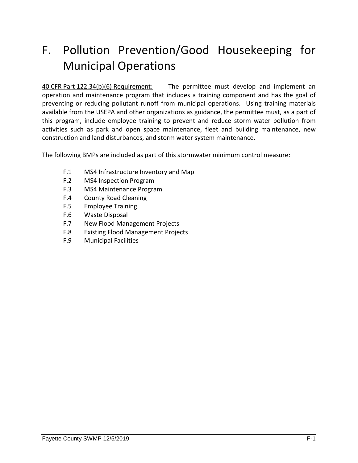# F. Pollution Prevention/Good Housekeeping for Municipal Operations

40 CFR Part 122.34(b)(6) Requirement: The permittee must develop and implement an operation and maintenance program that includes a training component and has the goal of preventing or reducing pollutant runoff from municipal operations. Using training materials available from the USEPA and other organizations as guidance, the permittee must, as a part of this program, include employee training to prevent and reduce storm water pollution from activities such as park and open space maintenance, fleet and building maintenance, new construction and land disturbances, and storm water system maintenance.

The following BMPs are included as part of this stormwater minimum control measure:

- F.1 MS4 Infrastructure Inventory and Map
- F.2 MS4 Inspection Program
- F.3 MS4 Maintenance Program
- F.4 County Road Cleaning
- F.5 Employee Training
- F.6 Waste Disposal
- F.7 New Flood Management Projects
- F.8 Existing Flood Management Projects
- F.9 Municipal Facilities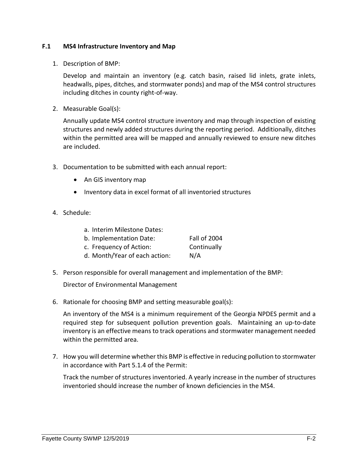# **F.1 MS4 Infrastructure Inventory and Map**

1. Description of BMP:

Develop and maintain an inventory (e.g. catch basin, raised lid inlets, grate inlets, headwalls, pipes, ditches, and stormwater ponds) and map of the MS4 control structures including ditches in county right-of-way.

2. Measurable Goal(s):

Annually update MS4 control structure inventory and map through inspection of existing structures and newly added structures during the reporting period. Additionally, ditches within the permitted area will be mapped and annually reviewed to ensure new ditches are included.

- 3. Documentation to be submitted with each annual report:
	- An GIS inventory map
	- Inventory data in excel format of all inventoried structures
- 4. Schedule:

| a. Interim Milestone Dates:   |                     |
|-------------------------------|---------------------|
| b. Implementation Date:       | <b>Fall of 2004</b> |
| c. Frequency of Action:       | Continually         |
| d. Month/Year of each action: | N/A                 |

5. Person responsible for overall management and implementation of the BMP:

Director of Environmental Management

6. Rationale for choosing BMP and setting measurable goal(s):

An inventory of the MS4 is a minimum requirement of the Georgia NPDES permit and a required step for subsequent pollution prevention goals. Maintaining an up-to-date inventory is an effective means to track operations and stormwater management needed within the permitted area.

7. How you will determine whether this BMP is effective in reducing pollution to stormwater in accordance with Part 5.1.4 of the Permit:

Track the number of structures inventoried. A yearly increase in the number of structures inventoried should increase the number of known deficiencies in the MS4.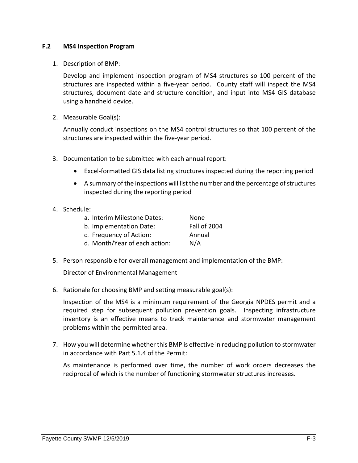## **F.2 MS4 Inspection Program**

1. Description of BMP:

Develop and implement inspection program of MS4 structures so 100 percent of the structures are inspected within a five-year period. County staff will inspect the MS4 structures, document date and structure condition, and input into MS4 GIS database using a handheld device.

2. Measurable Goal(s):

Annually conduct inspections on the MS4 control structures so that 100 percent of the structures are inspected within the five-year period.

- 3. Documentation to be submitted with each annual report:
	- Excel-formatted GIS data listing structures inspected during the reporting period
	- A summary of the inspections will list the number and the percentage of structures inspected during the reporting period
- 4. Schedule:

| a. Interim Milestone Dates:   | None                |
|-------------------------------|---------------------|
| b. Implementation Date:       | <b>Fall of 2004</b> |
| c. Frequency of Action:       | Annual              |
| d. Month/Year of each action: | N/A                 |

5. Person responsible for overall management and implementation of the BMP:

Director of Environmental Management

6. Rationale for choosing BMP and setting measurable goal(s):

Inspection of the MS4 is a minimum requirement of the Georgia NPDES permit and a required step for subsequent pollution prevention goals. Inspecting infrastructure inventory is an effective means to track maintenance and stormwater management problems within the permitted area.

7. How you will determine whether this BMP is effective in reducing pollution to stormwater in accordance with Part 5.1.4 of the Permit:

As maintenance is performed over time, the number of work orders decreases the reciprocal of which is the number of functioning stormwater structures increases.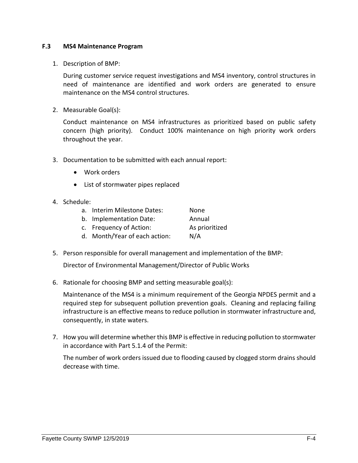#### **F.3 MS4 Maintenance Program**

1. Description of BMP:

During customer service request investigations and MS4 inventory, control structures in need of maintenance are identified and work orders are generated to ensure maintenance on the MS4 control structures.

2. Measurable Goal(s):

Conduct maintenance on MS4 infrastructures as prioritized based on public safety concern (high priority). Conduct 100% maintenance on high priority work orders throughout the year.

- 3. Documentation to be submitted with each annual report:
	- Work orders
	- List of stormwater pipes replaced
- 4. Schedule:
	- a. Interim Milestone Dates: None b. Implementation Date: Annual c. Frequency of Action: As prioritized
	- d. Month/Year of each action: N/A
- 5. Person responsible for overall management and implementation of the BMP:

Director of Environmental Management/Director of Public Works

6. Rationale for choosing BMP and setting measurable goal(s):

Maintenance of the MS4 is a minimum requirement of the Georgia NPDES permit and a required step for subsequent pollution prevention goals. Cleaning and replacing failing infrastructure is an effective means to reduce pollution in stormwater infrastructure and, consequently, in state waters.

7. How you will determine whether this BMP is effective in reducing pollution to stormwater in accordance with Part 5.1.4 of the Permit:

The number of work orders issued due to flooding caused by clogged storm drains should decrease with time.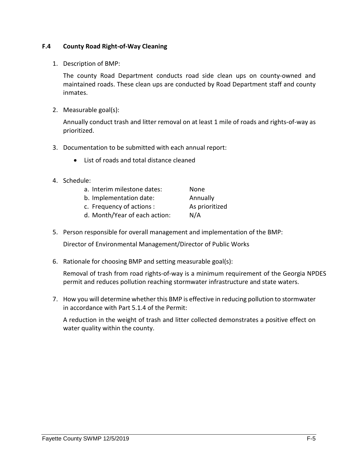# **F.4 County Road Right-of-Way Cleaning**

1. Description of BMP:

The county Road Department conducts road side clean ups on county-owned and maintained roads. These clean ups are conducted by Road Department staff and county inmates.

2. Measurable goal(s):

Annually conduct trash and litter removal on at least 1 mile of roads and rights-of-way as prioritized.

- 3. Documentation to be submitted with each annual report:
	- List of roads and total distance cleaned
- 4. Schedule:

| a. Interim milestone dates:   | None           |
|-------------------------------|----------------|
| b. Implementation date:       | Annually       |
| c. Frequency of actions :     | As prioritized |
| d. Month/Year of each action: | N/A            |

5. Person responsible for overall management and implementation of the BMP:

Director of Environmental Management/Director of Public Works

6. Rationale for choosing BMP and setting measurable goal(s):

Removal of trash from road rights-of-way is a minimum requirement of the Georgia NPDES permit and reduces pollution reaching stormwater infrastructure and state waters.

7. How you will determine whether this BMP is effective in reducing pollution to stormwater in accordance with Part 5.1.4 of the Permit:

A reduction in the weight of trash and litter collected demonstrates a positive effect on water quality within the county.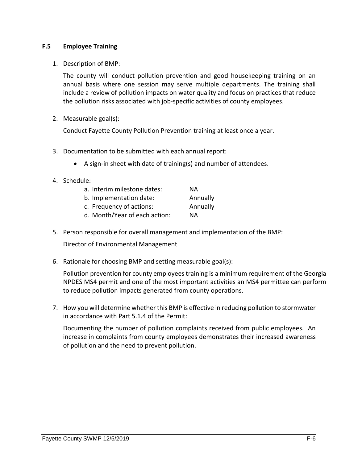# **F.5 Employee Training**

1. Description of BMP:

The county will conduct pollution prevention and good housekeeping training on an annual basis where one session may serve multiple departments. The training shall include a review of pollution impacts on water quality and focus on practices that reduce the pollution risks associated with job-specific activities of county employees.

2. Measurable goal(s):

Conduct Fayette County Pollution Prevention training at least once a year.

- 3. Documentation to be submitted with each annual report:
	- A sign-in sheet with date of training(s) and number of attendees.
- 4. Schedule:

| a. Interim milestone dates:   | ΝA       |
|-------------------------------|----------|
| b. Implementation date:       | Annually |
| c. Frequency of actions:      | Annually |
| d. Month/Year of each action: | ΝA       |

5. Person responsible for overall management and implementation of the BMP:

Director of Environmental Management

6. Rationale for choosing BMP and setting measurable goal(s):

Pollution prevention for county employees training is a minimum requirement of the Georgia NPDES MS4 permit and one of the most important activities an MS4 permittee can perform to reduce pollution impacts generated from county operations.

7. How you will determine whether this BMP is effective in reducing pollution to stormwater in accordance with Part 5.1.4 of the Permit:

Documenting the number of pollution complaints received from public employees. An increase in complaints from county employees demonstrates their increased awareness of pollution and the need to prevent pollution.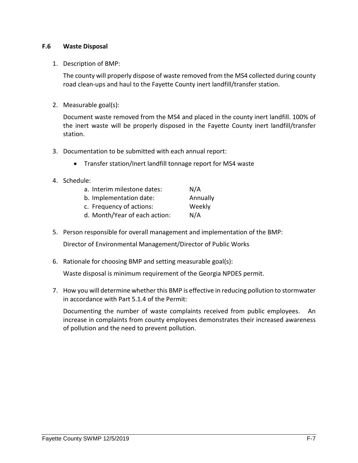## **F.6 Waste Disposal**

## 1. Description of BMP:

The county will properly dispose of waste removed from the MS4 collected during county road clean-ups and haul to the Fayette County inert landfill/transfer station.

2. Measurable goal(s):

Document waste removed from the MS4 and placed in the county inert landfill. 100% of the inert waste will be properly disposed in the Fayette County inert landfill/transfer station.

- 3. Documentation to be submitted with each annual report:
	- Transfer station/Inert landfill tonnage report for MS4 waste
- 4. Schedule:

| a. Interim milestone dates:   | N/A      |
|-------------------------------|----------|
| b. Implementation date:       | Annually |
| c. Frequency of actions:      | Weekly   |
| d. Month/Year of each action: | N/A      |

- 5. Person responsible for overall management and implementation of the BMP: Director of Environmental Management/Director of Public Works
- 6. Rationale for choosing BMP and setting measurable goal(s):

Waste disposal is minimum requirement of the Georgia NPDES permit.

7. How you will determine whether this BMP is effective in reducing pollution to stormwater in accordance with Part 5.1.4 of the Permit:

Documenting the number of waste complaints received from public employees. An increase in complaints from county employees demonstrates their increased awareness of pollution and the need to prevent pollution.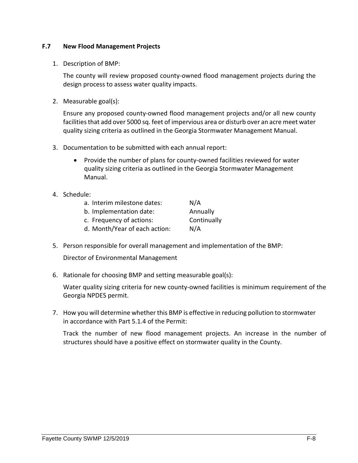# **F.7 New Flood Management Projects**

1. Description of BMP:

The county will review proposed county-owned flood management projects during the design process to assess water quality impacts.

2. Measurable goal(s):

Ensure any proposed county-owned flood management projects and/or all new county facilities that add over 5000 sq. feet of impervious area or disturb over an acre meet water quality sizing criteria as outlined in the Georgia Stormwater Management Manual.

- 3. Documentation to be submitted with each annual report:
	- Provide the number of plans for county-owned facilities reviewed for water quality sizing criteria as outlined in the Georgia Stormwater Management Manual.
- 4. Schedule:

| a. Interim milestone dates: | N/A         |
|-----------------------------|-------------|
| b. Implementation date:     | Annually    |
| c. Frequency of actions:    | Continually |

- d. Month/Year of each action: N/A
- 5. Person responsible for overall management and implementation of the BMP:

Director of Environmental Management

6. Rationale for choosing BMP and setting measurable goal(s):

Water quality sizing criteria for new county-owned facilities is minimum requirement of the Georgia NPDES permit.

7. How you will determine whether this BMP is effective in reducing pollution to stormwater in accordance with Part 5.1.4 of the Permit:

Track the number of new flood management projects. An increase in the number of structures should have a positive effect on stormwater quality in the County.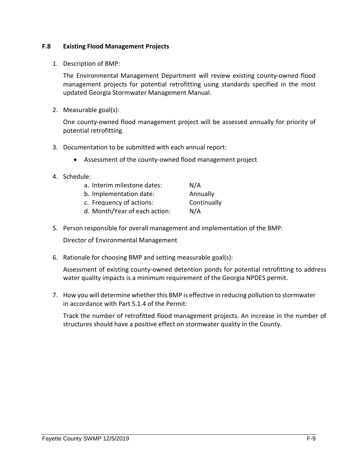# **F.8 Existing Flood Management Projects**

1. Description of BMP:

The Environmental Management Department will review existing county-owned flood management projects for potential retrofitting using standards specified in the most updated Georgia Stormwater Management Manual.

2. Measurable goal(s):

One county-owned flood management project will be assessed annually for priority of potential retrofitting.

- 3. Documentation to be submitted with each annual report:
	- Assessment of the county-owned flood management project
- 4. Schedule:

| a. Interim milestone dates:   | N/A         |
|-------------------------------|-------------|
| b. Implementation date:       | Annually    |
| c. Frequency of actions:      | Continually |
| d. Month/Year of each action: | N/A         |

5. Person responsible for overall management and implementation of the BMP:

Director of Environmental Management

6. Rationale for choosing BMP and setting measurable goal(s):

Assessment of existing county-owned detention ponds for potential retrofitting to address water quality impacts is a minimum requirement of the Georgia NPDES permit.

7. How you will determine whether this BMP is effective in reducing pollution to stormwater in accordance with Part 5.1.4 of the Permit:

Track the number of retrofitted flood management projects. An increase in the number of structures should have a positive effect on stormwater quality in the County.